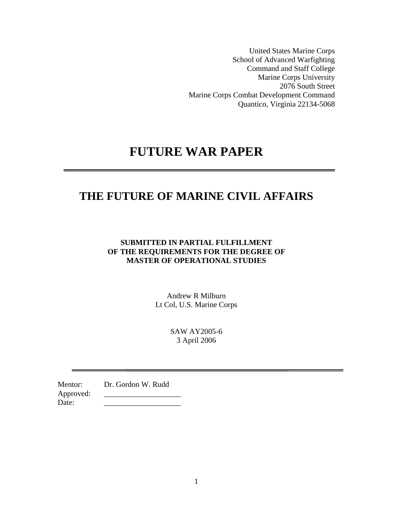United States Marine Corps School of Advanced Warfighting Command and Staff College Marine Corps University 2076 South Street Marine Corps Combat Development Command Quantico, Virginia 22134-5068

# **FUTURE WAR PAPER**

## **THE FUTURE OF MARINE CIVIL AFFAIRS**

## **SUBMITTED IN PARTIAL FULFILLMENT OF THE REQUIREMENTS FOR THE DEGREE OF MASTER OF OPERATIONAL STUDIES**

Andrew R Milburn Lt Col, U.S. Marine Corps

> SAW AY2005-6 3 April 2006

Mentor: Dr. Gordon W. Rudd Approved: Date: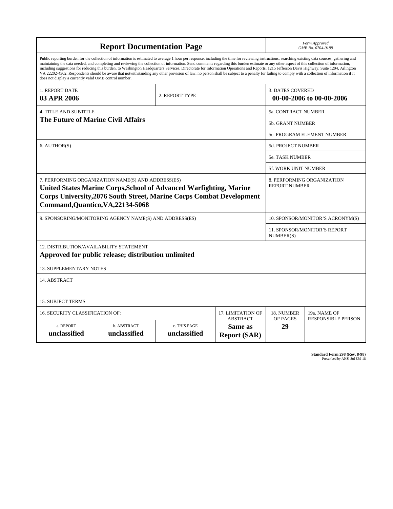| <b>Report Documentation Page</b>                                                                                                                                                                                                                                                                                                                                                                                                                                                                                                                                                                                                                                                                                                                                                                                                                                   |                             |                              |                                                   | Form Approved<br>OMB No. 0704-0188                  |                           |  |
|--------------------------------------------------------------------------------------------------------------------------------------------------------------------------------------------------------------------------------------------------------------------------------------------------------------------------------------------------------------------------------------------------------------------------------------------------------------------------------------------------------------------------------------------------------------------------------------------------------------------------------------------------------------------------------------------------------------------------------------------------------------------------------------------------------------------------------------------------------------------|-----------------------------|------------------------------|---------------------------------------------------|-----------------------------------------------------|---------------------------|--|
| Public reporting burden for the collection of information is estimated to average 1 hour per response, including the time for reviewing instructions, searching existing data sources, gathering and<br>maintaining the data needed, and completing and reviewing the collection of information. Send comments regarding this burden estimate or any other aspect of this collection of information,<br>including suggestions for reducing this burden, to Washington Headquarters Services, Directorate for Information Operations and Reports, 1215 Jefferson Davis Highway, Suite 1204, Arlington<br>VA 22202-4302. Respondents should be aware that notwithstanding any other provision of law, no person shall be subject to a penalty for failing to comply with a collection of information if it<br>does not display a currently valid OMB control number. |                             |                              |                                                   |                                                     |                           |  |
| 1. REPORT DATE<br>03 APR 2006                                                                                                                                                                                                                                                                                                                                                                                                                                                                                                                                                                                                                                                                                                                                                                                                                                      |                             | 2. REPORT TYPE               |                                                   | <b>3. DATES COVERED</b><br>00-00-2006 to 00-00-2006 |                           |  |
| <b>4. TITLE AND SUBTITLE</b>                                                                                                                                                                                                                                                                                                                                                                                                                                                                                                                                                                                                                                                                                                                                                                                                                                       |                             |                              |                                                   | 5a. CONTRACT NUMBER                                 |                           |  |
| The Future of Marine Civil Affairs                                                                                                                                                                                                                                                                                                                                                                                                                                                                                                                                                                                                                                                                                                                                                                                                                                 |                             |                              |                                                   | <b>5b. GRANT NUMBER</b>                             |                           |  |
|                                                                                                                                                                                                                                                                                                                                                                                                                                                                                                                                                                                                                                                                                                                                                                                                                                                                    |                             |                              |                                                   | <b>5c. PROGRAM ELEMENT NUMBER</b>                   |                           |  |
| 6. AUTHOR(S)                                                                                                                                                                                                                                                                                                                                                                                                                                                                                                                                                                                                                                                                                                                                                                                                                                                       |                             |                              |                                                   | <b>5d. PROJECT NUMBER</b>                           |                           |  |
|                                                                                                                                                                                                                                                                                                                                                                                                                                                                                                                                                                                                                                                                                                                                                                                                                                                                    |                             |                              |                                                   | <b>5e. TASK NUMBER</b>                              |                           |  |
|                                                                                                                                                                                                                                                                                                                                                                                                                                                                                                                                                                                                                                                                                                                                                                                                                                                                    |                             |                              |                                                   | 5f. WORK UNIT NUMBER                                |                           |  |
| 7. PERFORMING ORGANIZATION NAME(S) AND ADDRESS(ES)<br>8. PERFORMING ORGANIZATION<br><b>REPORT NUMBER</b><br>United States Marine Corps, School of Advanced Warfighting, Marine<br><b>Corps University, 2076 South Street, Marine Corps Combat Development</b><br>Command, Quantico, VA, 22134-5068                                                                                                                                                                                                                                                                                                                                                                                                                                                                                                                                                                 |                             |                              |                                                   |                                                     |                           |  |
| 9. SPONSORING/MONITORING AGENCY NAME(S) AND ADDRESS(ES)                                                                                                                                                                                                                                                                                                                                                                                                                                                                                                                                                                                                                                                                                                                                                                                                            |                             |                              | 10. SPONSOR/MONITOR'S ACRONYM(S)                  |                                                     |                           |  |
|                                                                                                                                                                                                                                                                                                                                                                                                                                                                                                                                                                                                                                                                                                                                                                                                                                                                    |                             |                              |                                                   | 11. SPONSOR/MONITOR'S REPORT<br>NUMBER(S)           |                           |  |
| 12. DISTRIBUTION/AVAILABILITY STATEMENT<br>Approved for public release; distribution unlimited                                                                                                                                                                                                                                                                                                                                                                                                                                                                                                                                                                                                                                                                                                                                                                     |                             |                              |                                                   |                                                     |                           |  |
| <b>13. SUPPLEMENTARY NOTES</b>                                                                                                                                                                                                                                                                                                                                                                                                                                                                                                                                                                                                                                                                                                                                                                                                                                     |                             |                              |                                                   |                                                     |                           |  |
| 14. ABSTRACT                                                                                                                                                                                                                                                                                                                                                                                                                                                                                                                                                                                                                                                                                                                                                                                                                                                       |                             |                              |                                                   |                                                     |                           |  |
| <b>15. SUBJECT TERMS</b>                                                                                                                                                                                                                                                                                                                                                                                                                                                                                                                                                                                                                                                                                                                                                                                                                                           |                             |                              |                                                   |                                                     |                           |  |
| <b>16. SECURITY CLASSIFICATION OF:</b>                                                                                                                                                                                                                                                                                                                                                                                                                                                                                                                                                                                                                                                                                                                                                                                                                             |                             |                              | 17. LIMITATION OF                                 | 18. NUMBER                                          | 19a. NAME OF              |  |
| a. REPORT<br>unclassified                                                                                                                                                                                                                                                                                                                                                                                                                                                                                                                                                                                                                                                                                                                                                                                                                                          | b. ABSTRACT<br>unclassified | c. THIS PAGE<br>unclassified | <b>ABSTRACT</b><br>Same as<br><b>Report (SAR)</b> | OF PAGES<br>29                                      | <b>RESPONSIBLE PERSON</b> |  |

**Standard Form 298 (Rev. 8-98)**<br>Prescribed by ANSI Std Z39-18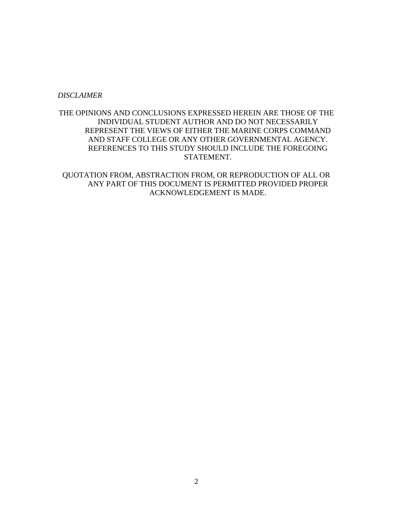#### *DISCLAIMER*

### THE OPINIONS AND CONCLUSIONS EXPRESSED HEREIN ARE THOSE OF THE INDIVIDUAL STUDENT AUTHOR AND DO NOT NECESSARILY REPRESENT THE VIEWS OF EITHER THE MARINE CORPS COMMAND AND STAFF COLLEGE OR ANY OTHER GOVERNMENTAL AGENCY. REFERENCES TO THIS STUDY SHOULD INCLUDE THE FOREGOING STATEMENT.

QUOTATION FROM, ABSTRACTION FROM, OR REPRODUCTION OF ALL OR ANY PART OF THIS DOCUMENT IS PERMITTED PROVIDED PROPER ACKNOWLEDGEMENT IS MADE.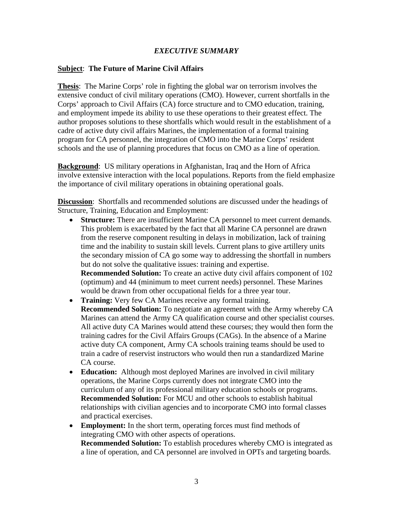## *EXECUTIVE SUMMARY*

### **Subject**: **The Future of Marine Civil Affairs**

**Thesis**: The Marine Corps' role in fighting the global war on terrorism involves the extensive conduct of civil military operations (CMO). However, current shortfalls in the Corps' approach to Civil Affairs (CA) force structure and to CMO education, training, and employment impede its ability to use these operations to their greatest effect. The author proposes solutions to these shortfalls which would result in the establishment of a cadre of active duty civil affairs Marines, the implementation of a formal training program for CA personnel, the integration of CMO into the Marine Corps' resident schools and the use of planning procedures that focus on CMO as a line of operation.

**Background**: US military operations in Afghanistan, Iraq and the Horn of Africa involve extensive interaction with the local populations. Reports from the field emphasize the importance of civil military operations in obtaining operational goals.

 **Discussion**: Shortfalls and recommended solutions are discussed under the headings of Structure, Training, Education and Employment:

• **Structure:** There are insufficient Marine CA personnel to meet current demands. This problem is exacerbated by the fact that all Marine CA personnel are drawn from the reserve component resulting in delays in mobilization, lack of training time and the inability to sustain skill levels. Current plans to give artillery units the secondary mission of CA go some way to addressing the shortfall in numbers but do not solve the qualitative issues: training and expertise.

**Recommended Solution:** To create an active duty civil affairs component of 102 (optimum) and 44 (minimum to meet current needs) personnel. These Marines would be drawn from other occupational fields for a three year tour.

- **Training:** Very few CA Marines receive any formal training. **Recommended Solution:** To negotiate an agreement with the Army whereby CA Marines can attend the Army CA qualification course and other specialist courses. All active duty CA Marines would attend these courses; they would then form the training cadres for the Civil Affairs Groups (CAGs). In the absence of a Marine active duty CA component, Army CA schools training teams should be used to train a cadre of reservist instructors who would then run a standardized Marine CA course.
- **Education:** Although most deployed Marines are involved in civil military operations, the Marine Corps currently does not integrate CMO into the curriculum of any of its professional military education schools or programs. **Recommended Solution:** For MCU and other schools to establish habitual relationships with civilian agencies and to incorporate CMO into formal classes and practical exercises.
- **Employment:** In the short term, operating forces must find methods of integrating CMO with other aspects of operations. **Recommended Solution:** To establish procedures whereby CMO is integrated as a line of operation, and CA personnel are involved in OPTs and targeting boards.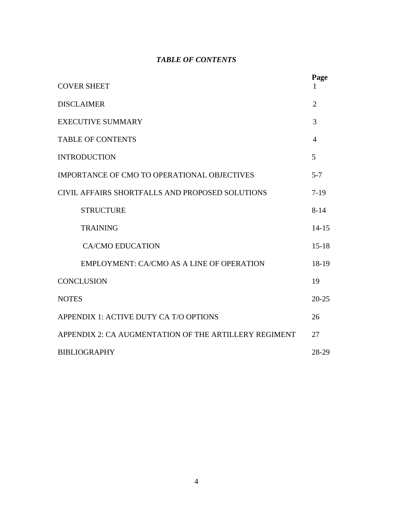## *TABLE OF CONTENTS*

|                                                       | Page           |  |
|-------------------------------------------------------|----------------|--|
| <b>COVER SHEET</b>                                    |                |  |
| <b>DISCLAIMER</b>                                     | $\overline{2}$ |  |
| <b>EXECUTIVE SUMMARY</b>                              | 3              |  |
| <b>TABLE OF CONTENTS</b>                              |                |  |
| <b>INTRODUCTION</b>                                   |                |  |
| <b>IMPORTANCE OF CMO TO OPERATIONAL OBJECTIVES</b>    | $5 - 7$        |  |
| CIVIL AFFAIRS SHORTFALLS AND PROPOSED SOLUTIONS       | $7-19$         |  |
| <b>STRUCTURE</b>                                      | $8 - 14$       |  |
| <b>TRAINING</b>                                       | $14 - 15$      |  |
| <b>CA/CMO EDUCATION</b>                               | $15-18$        |  |
| EMPLOYMENT: CA/CMO AS A LINE OF OPERATION             | 18-19          |  |
| <b>CONCLUSION</b>                                     | 19             |  |
| <b>NOTES</b>                                          | $20 - 25$      |  |
| APPENDIX 1: ACTIVE DUTY CA T/O OPTIONS                | 26             |  |
| APPENDIX 2: CA AUGMENTATION OF THE ARTILLERY REGIMENT |                |  |
| <b>BIBLIOGRAPHY</b>                                   |                |  |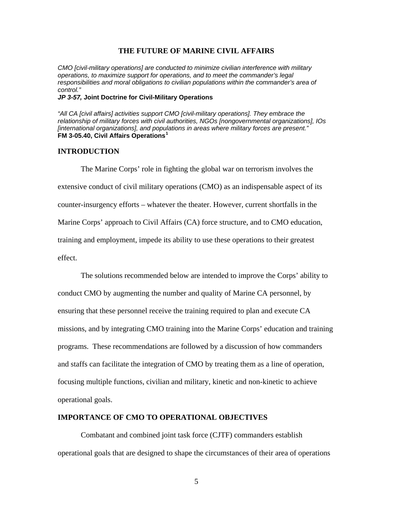#### **THE FUTURE OF MARINE CIVIL AFFAIRS**

*CMO [civil-military operations] are conducted to minimize civilian interference with military operations, to maximize support for operations, and to meet the commander's legal responsibilities and moral obligations to civilian populations within the commander's area of control."* 

#### *JP 3-57,* **Joint Doctrine for Civil-Military Operations**

*"All CA [civil affairs] activities support CMO [civil-military operations]. They embrace the relationship of military forces with civil authorities, NGOs [nongovernmental organizations], IOs [international organizations], and populations in areas where military forces are present."*  **FM 3-05.40, Civil Affairs Operations[1](#page-20-0)**

#### **INTRODUCTION**

The Marine Corps' role in fighting the global war on terrorism involves the extensive conduct of civil military operations (CMO) as an indispensable aspect of its counter-insurgency efforts – whatever the theater. However, current shortfalls in the Marine Corps' approach to Civil Affairs (CA) force structure, and to CMO education, training and employment, impede its ability to use these operations to their greatest effect.

The solutions recommended below are intended to improve the Corps' ability to conduct CMO by augmenting the number and quality of Marine CA personnel, by ensuring that these personnel receive the training required to plan and execute CA missions, and by integrating CMO training into the Marine Corps' education and training programs. These recommendations are followed by a discussion of how commanders and staffs can facilitate the integration of CMO by treating them as a line of operation, focusing multiple functions, civilian and military, kinetic and non-kinetic to achieve operational goals.

#### **IMPORTANCE OF CMO TO OPERATIONAL OBJECTIVES**

Combatant and combined joint task force (CJTF) commanders establish operational goals that are designed to shape the circumstances of their area of operations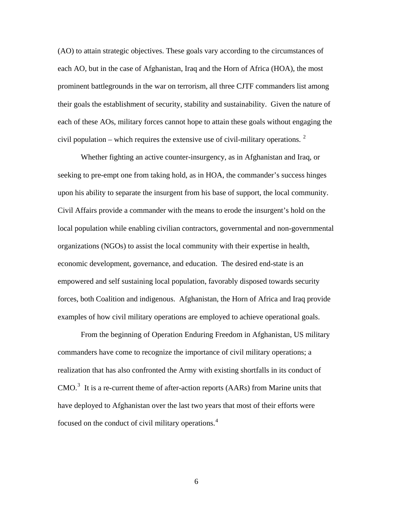(AO) to attain strategic objectives. These goals vary according to the circumstances of each AO, but in the case of Afghanistan, Iraq and the Horn of Africa (HOA), the most prominent battlegrounds in the war on terrorism, all three CJTF commanders list among their goals the establishment of security, stability and sustainability. Given the nature of each of these AOs, military forces cannot hope to attain these goals without engaging the civil population – which requires the extensive use of civil-military operations.  $2$ 

Whether fighting an active counter-insurgency, as in Afghanistan and Iraq, or seeking to pre-empt one from taking hold, as in HOA, the commander's success hinges upon his ability to separate the insurgent from his base of support, the local community. Civil Affairs provide a commander with the means to erode the insurgent's hold on the local population while enabling civilian contractors, governmental and non-governmental organizations (NGOs) to assist the local community with their expertise in health, economic development, governance, and education. The desired end-state is an empowered and self sustaining local population, favorably disposed towards security forces, both Coalition and indigenous. Afghanistan, the Horn of Africa and Iraq provide examples of how civil military operations are employed to achieve operational goals.

From the beginning of Operation Enduring Freedom in Afghanistan, US military commanders have come to recognize the importance of civil military operations; a realization that has also confronted the Army with existing shortfalls in its conduct of  $CMO<sup>3</sup>$  $CMO<sup>3</sup>$  $CMO<sup>3</sup>$  It is a re-current theme of after-action reports (AARs) from Marine units that have deployed to Afghanistan over the last two years that most of their efforts were focused on the conduct of civil military operations.<sup>[4](#page-21-0)</sup>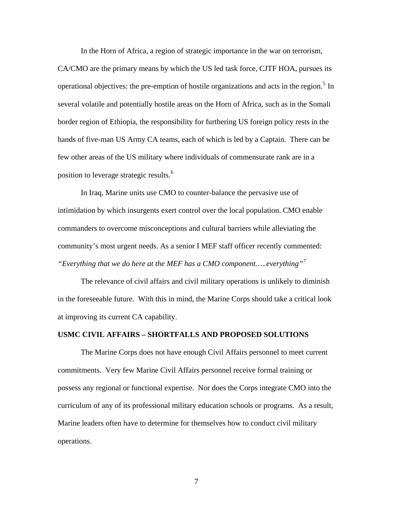In the Horn of Africa, a region of strategic importance in the war on terrorism,

CA/CMO are the primary means by which the US led task force, CJTF HOA, pursues its operational objectives: the pre-emption of hostile organizations and acts in the region.<sup>[5](#page-21-0)</sup> In several volatile and potentially hostile areas on the Horn of Africa, such as in the Somali border region of Ethiopia, the responsibility for furthering US foreign policy rests in the hands of five-man US Army CA teams, each of which is led by a Captain. There can be few other areas of the US military where individuals of commensurate rank are in a position to leverage strategic results.<sup>[6](#page-21-0)</sup>

In Iraq, Marine units use CMO to counter-balance the pervasive use of intimidation by which insurgents exert control over the local population. CMO enable commanders to overcome misconceptions and cultural barriers while alleviating the community's most urgent needs. As a senior I MEF staff officer recently commented: *"Everything that we do here at the MEF has a CMO component…..everything"[7](#page-21-0)*

The relevance of civil affairs and civil military operations is unlikely to diminish in the foreseeable future. With this in mind, the Marine Corps should take a critical look at improving its current CA capability.

#### **USMC CIVIL AFFAIRS – SHORTFALLS AND PROPOSED SOLUTIONS**

The Marine Corps does not have enough Civil Affairs personnel to meet current commitments. Very few Marine Civil Affairs personnel receive formal training or possess any regional or functional expertise. Nor does the Corps integrate CMO into the curriculum of any of its professional military education schools or programs. As a result, Marine leaders often have to determine for themselves how to conduct civil military operations.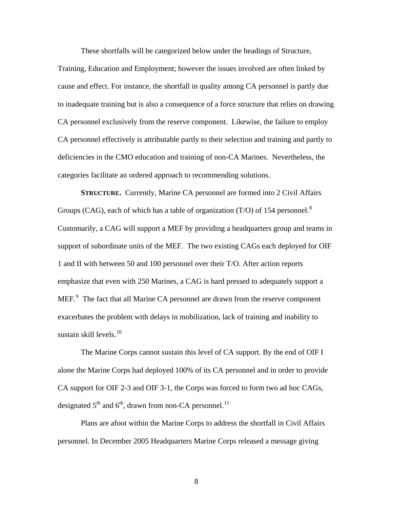These shortfalls will be categorized below under the headings of Structure,

Training, Education and Employment; however the issues involved are often linked by cause and effect. For instance, the shortfall in quality among CA personnel is partly due to inadequate training but is also a consequence of a force structure that relies on drawing CA personnel exclusively from the reserve component. Likewise, the failure to employ CA personnel effectively is attributable partly to their selection and training and partly to deficiencies in the CMO education and training of non-CA Marines. Nevertheless, the categories facilitate an ordered approach to recommending solutions.

**STRUCTURE.** Currently, Marine CA personnel are formed into 2 Civil Affairs Groups (CAG), each of which has a table of organization (T/O) of 154 personnel.<sup>[8](#page-21-0)</sup> Customarily, a CAG will support a MEF by providing a headquarters group and teams in support of subordinate units of the MEF. The two existing CAGs each deployed for OIF 1 and II with between 50 and 100 personnel over their T/O. After action reports emphasize that even with 250 Marines, a CAG is hard pressed to adequately support a MEF. $<sup>9</sup>$  $<sup>9</sup>$  $<sup>9</sup>$  The fact that all Marine CA personnel are drawn from the reserve component</sup> exacerbates the problem with delays in mobilization, lack of training and inability to sustain skill levels. $10<sup>10</sup>$  $10<sup>10</sup>$ 

The Marine Corps cannot sustain this level of CA support. By the end of OIF I alone the Marine Corps had deployed 100% of its CA personnel and in order to provide CA support for OIF 2-3 and OIF 3-1, the Corps was forced to form two ad hoc CAGs, designated  $5<sup>th</sup>$  and  $6<sup>th</sup>$ , drawn from non-CA personnel.<sup>[11](#page-22-0)</sup>

Plans are afoot within the Marine Corps to address the shortfall in Civil Affairs personnel. In December 2005 Headquarters Marine Corps released a message giving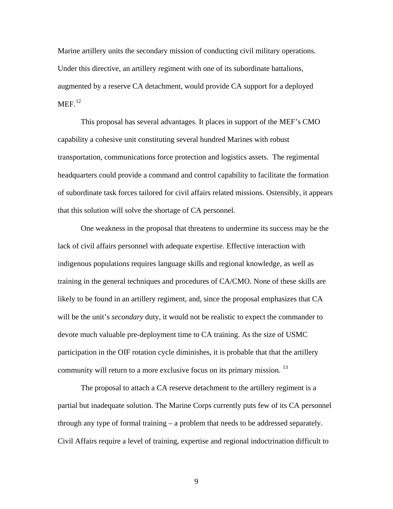Marine artillery units the secondary mission of conducting civil military operations. Under this directive, an artillery regiment with one of its subordinate battalions, augmented by a reserve CA detachment, would provide CA support for a deployed  $MEF<sup>12</sup>$  $MEF<sup>12</sup>$  $MEF<sup>12</sup>$ 

This proposal has several advantages. It places in support of the MEF's CMO capability a cohesive unit constituting several hundred Marines with robust transportation, communications force protection and logistics assets. The regimental headquarters could provide a command and control capability to facilitate the formation of subordinate task forces tailored for civil affairs related missions. Ostensibly, it appears that this solution will solve the shortage of CA personnel.

One weakness in the proposal that threatens to undermine its success may be the lack of civil affairs personnel with adequate expertise. Effective interaction with indigenous populations requires language skills and regional knowledge, as well as training in the general techniques and procedures of CA/CMO. None of these skills are likely to be found in an artillery regiment, and, since the proposal emphasizes that CA will be the unit's *secondary* duty, it would not be realistic to expect the commander to devote much valuable pre-deployment time to CA training. As the size of USMC participation in the OIF rotation cycle diminishes, it is probable that that the artillery community will return to a more exclusive focus on its primary mission.<sup>[13](#page-22-0)</sup>

The proposal to attach a CA reserve detachment to the artillery regiment is a partial but inadequate solution. The Marine Corps currently puts few of its CA personnel through any type of formal training – a problem that needs to be addressed separately. Civil Affairs require a level of training, expertise and regional indoctrination difficult to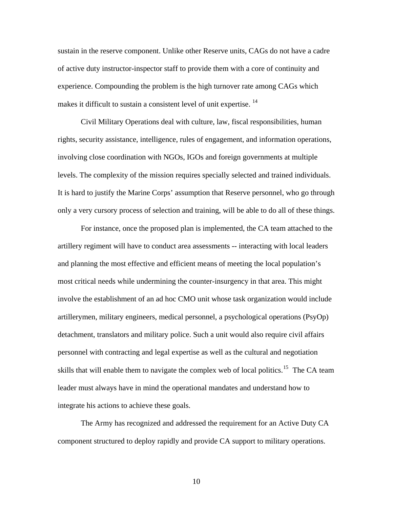sustain in the reserve component. Unlike other Reserve units, CAGs do not have a cadre of active duty instructor-inspector staff to provide them with a core of continuity and experience. Compounding the problem is the high turnover rate among CAGs which makes it difficult to sustain a consistent level of unit expertise.<sup>[14](#page-22-0)</sup>

Civil Military Operations deal with culture, law, fiscal responsibilities, human rights, security assistance, intelligence, rules of engagement, and information operations, involving close coordination with NGOs, IGOs and foreign governments at multiple levels. The complexity of the mission requires specially selected and trained individuals. It is hard to justify the Marine Corps' assumption that Reserve personnel, who go through only a very cursory process of selection and training, will be able to do all of these things.

For instance, once the proposed plan is implemented, the CA team attached to the artillery regiment will have to conduct area assessments -- interacting with local leaders and planning the most effective and efficient means of meeting the local population's most critical needs while undermining the counter-insurgency in that area. This might involve the establishment of an ad hoc CMO unit whose task organization would include artillerymen, military engineers, medical personnel, a psychological operations (PsyOp) detachment, translators and military police. Such a unit would also require civil affairs personnel with contracting and legal expertise as well as the cultural and negotiation skills that will enable them to navigate the complex web of local politics.<sup>[15](#page-22-0)</sup> The CA team leader must always have in mind the operational mandates and understand how to integrate his actions to achieve these goals.

The Army has recognized and addressed the requirement for an Active Duty CA component structured to deploy rapidly and provide CA support to military operations.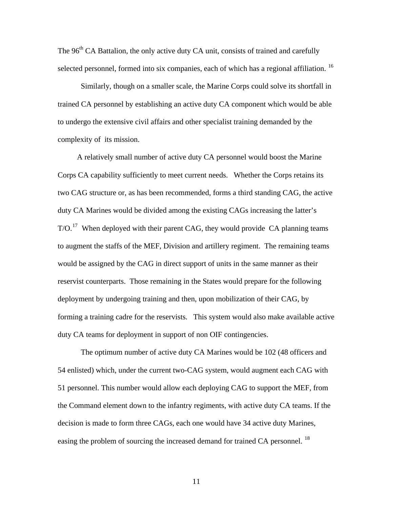The 96<sup>th</sup> CA Battalion, the only active duty CA unit, consists of trained and carefully selected personnel, formed into six companies, each of which has a regional affiliation.<sup>[16](#page-23-0)</sup>

Similarly, though on a smaller scale, the Marine Corps could solve its shortfall in trained CA personnel by establishing an active duty CA component which would be able to undergo the extensive civil affairs and other specialist training demanded by the complexity of its mission.

 A relatively small number of active duty CA personnel would boost the Marine Corps CA capability sufficiently to meet current needs. Whether the Corps retains its two CAG structure or, as has been recommended, forms a third standing CAG, the active duty CA Marines would be divided among the existing CAGs increasing the latter's  $T/O$ .<sup>[17](#page-23-0)</sup> When deployed with their parent CAG, they would provide CA planning teams to augment the staffs of the MEF, Division and artillery regiment. The remaining teams would be assigned by the CAG in direct support of units in the same manner as their reservist counterparts. Those remaining in the States would prepare for the following deployment by undergoing training and then, upon mobilization of their CAG, by forming a training cadre for the reservists. This system would also make available active duty CA teams for deployment in support of non OIF contingencies.

The optimum number of active duty CA Marines would be 102 (48 officers and 54 enlisted) which, under the current two-CAG system, would augment each CAG with 51 personnel. This number would allow each deploying CAG to support the MEF, from the Command element down to the infantry regiments, with active duty CA teams. If the decision is made to form three CAGs, each one would have 34 active duty Marines, easing the problem of sourcing the increased demand for trained CA personnel.<sup>[18](#page-23-0)</sup>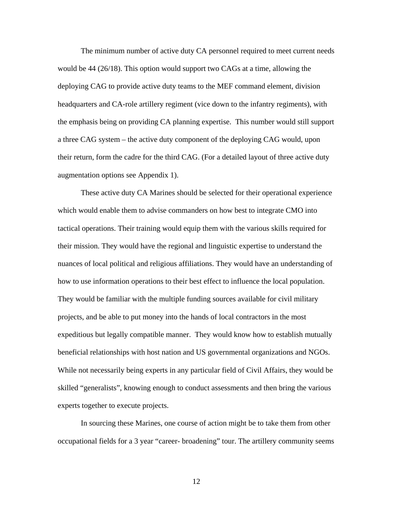The minimum number of active duty CA personnel required to meet current needs would be 44 (26/18). This option would support two CAGs at a time, allowing the deploying CAG to provide active duty teams to the MEF command element, division headquarters and CA-role artillery regiment (vice down to the infantry regiments), with the emphasis being on providing CA planning expertise. This number would still support a three CAG system – the active duty component of the deploying CAG would, upon their return, form the cadre for the third CAG. (For a detailed layout of three active duty augmentation options see Appendix 1).

These active duty CA Marines should be selected for their operational experience which would enable them to advise commanders on how best to integrate CMO into tactical operations. Their training would equip them with the various skills required for their mission. They would have the regional and linguistic expertise to understand the nuances of local political and religious affiliations. They would have an understanding of how to use information operations to their best effect to influence the local population. They would be familiar with the multiple funding sources available for civil military projects, and be able to put money into the hands of local contractors in the most expeditious but legally compatible manner. They would know how to establish mutually beneficial relationships with host nation and US governmental organizations and NGOs. While not necessarily being experts in any particular field of Civil Affairs, they would be skilled "generalists", knowing enough to conduct assessments and then bring the various experts together to execute projects.

In sourcing these Marines, one course of action might be to take them from other occupational fields for a 3 year "career- broadening" tour. The artillery community seems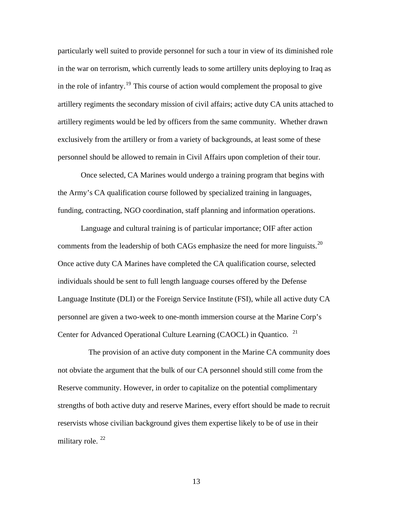particularly well suited to provide personnel for such a tour in view of its diminished role in the war on terrorism, which currently leads to some artillery units deploying to Iraq as in the role of infantry.<sup>[19](#page-23-0)</sup> This course of action would complement the proposal to give artillery regiments the secondary mission of civil affairs; active duty CA units attached to artillery regiments would be led by officers from the same community. Whether drawn exclusively from the artillery or from a variety of backgrounds, at least some of these personnel should be allowed to remain in Civil Affairs upon completion of their tour.

Once selected, CA Marines would undergo a training program that begins with the Army's CA qualification course followed by specialized training in languages, funding, contracting, NGO coordination, staff planning and information operations.

Language and cultural training is of particular importance; OIF after action comments from the leadership of both CAGs emphasize the need for more linguists.<sup>[20](#page-23-0)</sup> Once active duty CA Marines have completed the CA qualification course, selected individuals should be sent to full length language courses offered by the Defense Language Institute (DLI) or the Foreign Service Institute (FSI), while all active duty CA personnel are given a two-week to one-month immersion course at the Marine Corp's Center for Advanced Operational Culture Learning (CAOCL) in Quantico. <sup>[21](#page-23-0)</sup>

 The provision of an active duty component in the Marine CA community does not obviate the argument that the bulk of our CA personnel should still come from the Reserve community. However, in order to capitalize on the potential complimentary strengths of both active duty and reserve Marines, every effort should be made to recruit reservists whose civilian background gives them expertise likely to be of use in their military role.  $22$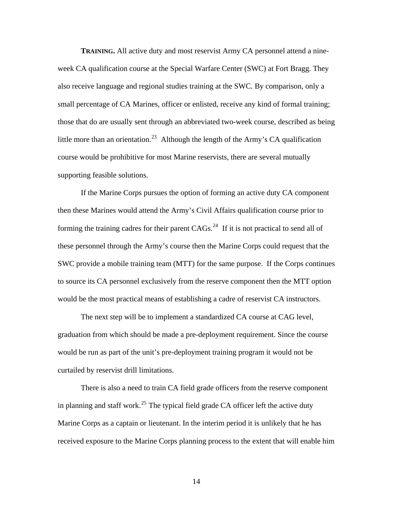**TRAINING.** All active duty and most reservist Army CA personnel attend a nineweek CA qualification course at the Special Warfare Center (SWC) at Fort Bragg. They also receive language and regional studies training at the SWC. By comparison, only a small percentage of CA Marines, officer or enlisted, receive any kind of formal training; those that do are usually sent through an abbreviated two-week course, described as being little more than an orientation.<sup>[23](#page-24-0)</sup> Although the length of the Army's CA qualification course would be prohibitive for most Marine reservists, there are several mutually supporting feasible solutions.

If the Marine Corps pursues the option of forming an active duty CA component then these Marines would attend the Army's Civil Affairs qualification course prior to forming the training cadres for their parent  $CAGs$ <sup>[24](#page-24-0)</sup> If it is not practical to send all of these personnel through the Army's course then the Marine Corps could request that the SWC provide a mobile training team (MTT) for the same purpose. If the Corps continues to source its CA personnel exclusively from the reserve component then the MTT option would be the most practical means of establishing a cadre of reservist CA instructors.

The next step will be to implement a standardized CA course at CAG level, graduation from which should be made a pre-deployment requirement. Since the course would be run as part of the unit's pre-deployment training program it would not be curtailed by reservist drill limitations.

 There is also a need to train CA field grade officers from the reserve component in planning and staff work.<sup>[25](#page-24-0)</sup> The typical field grade CA officer left the active duty Marine Corps as a captain or lieutenant. In the interim period it is unlikely that he has received exposure to the Marine Corps planning process to the extent that will enable him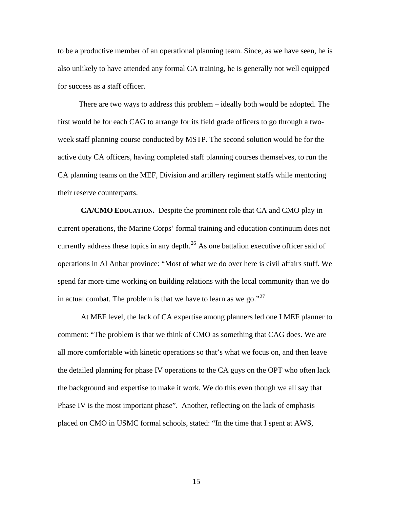to be a productive member of an operational planning team. Since, as we have seen, he is also unlikely to have attended any formal CA training, he is generally not well equipped for success as a staff officer.

 There are two ways to address this problem – ideally both would be adopted. The first would be for each CAG to arrange for its field grade officers to go through a twoweek staff planning course conducted by MSTP. The second solution would be for the active duty CA officers, having completed staff planning courses themselves, to run the CA planning teams on the MEF, Division and artillery regiment staffs while mentoring their reserve counterparts.

**CA/CMO EDUCATION.** Despite the prominent role that CA and CMO play in current operations, the Marine Corps' formal training and education continuum does not currently address these topics in any depth. $^{26}$  $^{26}$  $^{26}$  As one battalion executive officer said of operations in Al Anbar province: "Most of what we do over here is civil affairs stuff. We spend far more time working on building relations with the local community than we do in actual combat. The problem is that we have to learn as we go."<sup>[27](#page-24-0)</sup>

At MEF level, the lack of CA expertise among planners led one I MEF planner to comment: "The problem is that we think of CMO as something that CAG does. We are all more comfortable with kinetic operations so that's what we focus on, and then leave the detailed planning for phase IV operations to the CA guys on the OPT who often lack the background and expertise to make it work. We do this even though we all say that Phase IV is the most important phase". Another, reflecting on the lack of emphasis placed on CMO in USMC formal schools, stated: "In the time that I spent at AWS,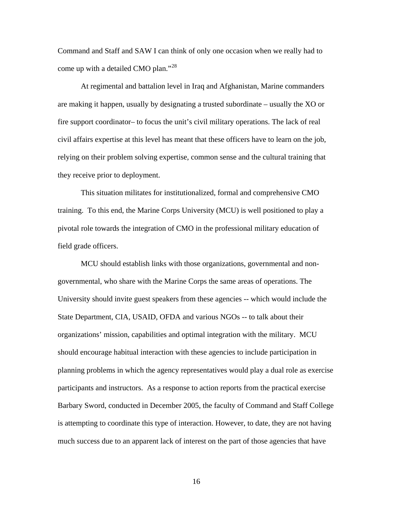Command and Staff and SAW I can think of only one occasion when we really had to come up with a detailed CMO plan."<sup>[28](#page-24-0)</sup>

At regimental and battalion level in Iraq and Afghanistan, Marine commanders are making it happen, usually by designating a trusted subordinate – usually the XO or fire support coordinator– to focus the unit's civil military operations. The lack of real civil affairs expertise at this level has meant that these officers have to learn on the job, relying on their problem solving expertise, common sense and the cultural training that they receive prior to deployment.

This situation militates for institutionalized, formal and comprehensive CMO training. To this end, the Marine Corps University (MCU) is well positioned to play a pivotal role towards the integration of CMO in the professional military education of field grade officers.

MCU should establish links with those organizations, governmental and nongovernmental, who share with the Marine Corps the same areas of operations. The University should invite guest speakers from these agencies -- which would include the State Department, CIA, USAID, OFDA and various NGOs -- to talk about their organizations' mission, capabilities and optimal integration with the military. MCU should encourage habitual interaction with these agencies to include participation in planning problems in which the agency representatives would play a dual role as exercise participants and instructors. As a response to action reports from the practical exercise Barbary Sword, conducted in December 2005, the faculty of Command and Staff College is attempting to coordinate this type of interaction. However, to date, they are not having much success due to an apparent lack of interest on the part of those agencies that have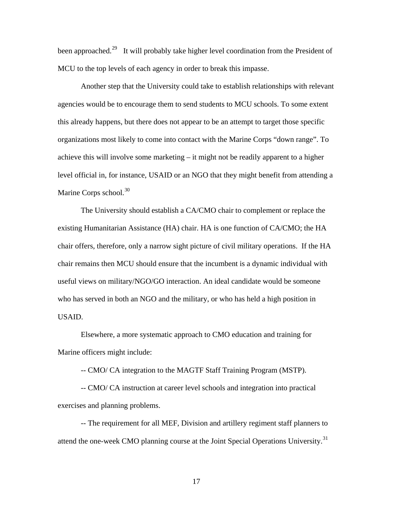been approached.<sup>[29](#page-24-0)</sup> It will probably take higher level coordination from the President of MCU to the top levels of each agency in order to break this impasse.

Another step that the University could take to establish relationships with relevant agencies would be to encourage them to send students to MCU schools. To some extent this already happens, but there does not appear to be an attempt to target those specific organizations most likely to come into contact with the Marine Corps "down range". To achieve this will involve some marketing – it might not be readily apparent to a higher level official in, for instance, USAID or an NGO that they might benefit from attending a Marine Corps school. $30$ 

The University should establish a CA/CMO chair to complement or replace the existing Humanitarian Assistance (HA) chair. HA is one function of CA/CMO; the HA chair offers, therefore, only a narrow sight picture of civil military operations. If the HA chair remains then MCU should ensure that the incumbent is a dynamic individual with useful views on military/NGO/GO interaction. An ideal candidate would be someone who has served in both an NGO and the military, or who has held a high position in USAID.

Elsewhere, a more systematic approach to CMO education and training for Marine officers might include:

-- CMO/ CA integration to the MAGTF Staff Training Program (MSTP).

-- CMO/ CA instruction at career level schools and integration into practical exercises and planning problems.

-- The requirement for all MEF, Division and artillery regiment staff planners to attend the one-week CMO planning course at the Joint Special Operations University.<sup>[31](#page-25-0)</sup>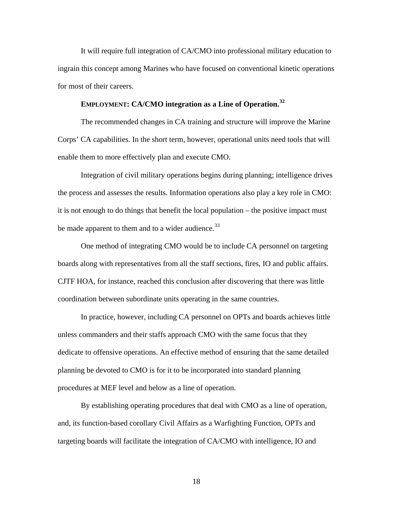It will require full integration of CA/CMO into professional military education to ingrain this concept among Marines who have focused on conventional kinetic operations for most of their careers.

#### **EMPLOYMENT: CA/CMO integration as a Line of Operation.[32](#page-25-0)**

The recommended changes in CA training and structure will improve the Marine Corps' CA capabilities. In the short term, however, operational units need tools that will enable them to more effectively plan and execute CMO.

Integration of civil military operations begins during planning; intelligence drives the process and assesses the results. Information operations also play a key role in CMO: it is not enough to do things that benefit the local population – the positive impact must be made apparent to them and to a wider audience.<sup>[33](#page-25-0)</sup>

One method of integrating CMO would be to include CA personnel on targeting boards along with representatives from all the staff sections, fires, IO and public affairs. CJTF HOA, for instance, reached this conclusion after discovering that there was little coordination between subordinate units operating in the same countries.

In practice, however, including CA personnel on OPTs and boards achieves little unless commanders and their staffs approach CMO with the same focus that they dedicate to offensive operations. An effective method of ensuring that the same detailed planning be devoted to CMO is for it to be incorporated into standard planning procedures at MEF level and below as a line of operation.

By establishing operating procedures that deal with CMO as a line of operation, and, its function-based corollary Civil Affairs as a Warfighting Function, OPTs and targeting boards will facilitate the integration of CA/CMO with intelligence, IO and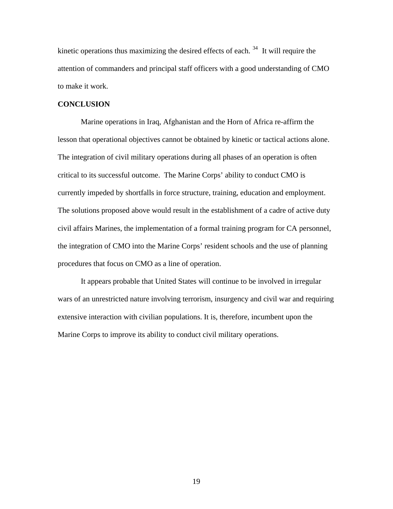kinetic operations thus maximizing the desired effects of each.  $34$  It will require the attention of commanders and principal staff officers with a good understanding of CMO to make it work.

#### **CONCLUSION**

Marine operations in Iraq, Afghanistan and the Horn of Africa re-affirm the lesson that operational objectives cannot be obtained by kinetic or tactical actions alone. The integration of civil military operations during all phases of an operation is often critical to its successful outcome. The Marine Corps' ability to conduct CMO is currently impeded by shortfalls in force structure, training, education and employment. The solutions proposed above would result in the establishment of a cadre of active duty civil affairs Marines, the implementation of a formal training program for CA personnel, the integration of CMO into the Marine Corps' resident schools and the use of planning procedures that focus on CMO as a line of operation.

It appears probable that United States will continue to be involved in irregular wars of an unrestricted nature involving terrorism, insurgency and civil war and requiring extensive interaction with civilian populations. It is, therefore, incumbent upon the Marine Corps to improve its ability to conduct civil military operations.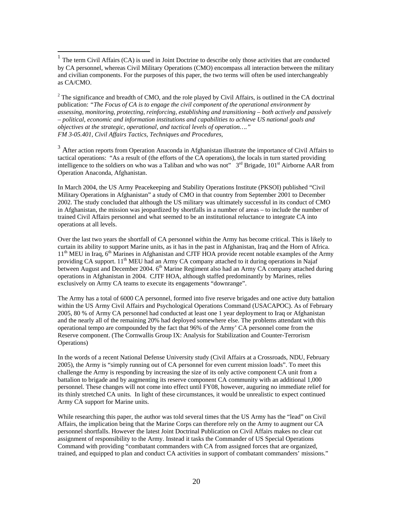$\overline{a}$ 

 $2^2$  The significance and breadth of CMO, and the role played by Civil Affairs, is outlined in the CA doctrinal publication: *"The Focus of CA is to engage the civil component of the operational environment by assessing, monitoring, protecting, reinforcing, establishing and transitioning – both actively and passively – political, economic and information institutions and capabilities to achieve US national goals and objectives at the strategic, operational, and tactical levels of operation…." FM 3-05.401, Civil Affairs Tactics, Techniques and Procedures,* 

<sup>3</sup> After action reports from Operation Anaconda in Afghanistan illustrate the importance of Civil Affairs to tactical operations: "As a result of (the efforts of the CA operations), the locals in turn started providing intelligence to the soldiers on who was a Taliban and who was not"  $3<sup>rd</sup>$  Brigade, 101<sup>st</sup> Airborne AAR from Operation Anaconda, Afghanistan.

In March 2004, the US Army Peacekeeping and Stability Operations Institute (PKSOI) published "Civil Military Operations in Afghanistan" a study of CMO in that country from September 2001 to December 2002. The study concluded that although the US military was ultimately successful in its conduct of CMO in Afghanistan, the mission was jeopardized by shortfalls in a number of areas – to include the number of trained Civil Affairs personnel and what seemed to be an institutional reluctance to integrate CA into operations at all levels.

Over the last two years the shortfall of CA personnel within the Army has become critical. This is likely to curtain its ability to support Marine units, as it has in the past in Afghanistan, Iraq and the Horn of Africa.  $11<sup>th</sup>$  MEU in Iraq,  $6<sup>th</sup>$  Marines in Afghanistan and CJTF HOA provide recent notable examples of the Army providing CA support. 11<sup>th</sup> MEU had an Army CA company attached to it during operations in Najaf between August and December 2004. 6<sup>th</sup> Marine Regiment also had an Army CA company attached during operations in Afghanistan in 2004. CJTF HOA, although staffed predominantly by Marines, relies exclusively on Army CA teams to execute its engagements "downrange".

The Army has a total of 6000 CA personnel, formed into five reserve brigades and one active duty battalion within the US Army Civil Affairs and Psychological Operations Command (USACAPOC). As of February 2005, 80 % of Army CA personnel had conducted at least one 1 year deployment to Iraq or Afghanistan and the nearly all of the remaining 20% had deployed somewhere else. The problems attendant with this operational tempo are compounded by the fact that 96% of the Army' CA personnel come from the Reserve component. (The Cornwallis Group IX: Analysis for Stabilization and Counter-Terrorism Operations)

In the words of a recent National Defense University study (Civil Affairs at a Crossroads, NDU, February 2005), the Army is "simply running out of CA personnel for even current mission loads". To meet this challenge the Army is responding by increasing the size of its only active component CA unit from a battalion to brigade and by augmenting its reserve component CA community with an additional 1,000 personnel. These changes will not come into effect until FY08, however, auguring no immediate relief for its thinly stretched CA units. In light of these circumstances, it would be unrealistic to expect continued Army CA support for Marine units.

While researching this paper, the author was told several times that the US Army has the "lead" on Civil Affairs, the implication being that the Marine Corps can therefore rely on the Army to augment our CA personnel shortfalls. However the latest Joint Doctrinal Publication on Civil Affairs makes no clear cut assignment of responsibility to the Army. Instead it tasks the Commander of US Special Operations Command with providing "combatant commanders with CA from assigned forces that are organized, trained, and equipped to plan and conduct CA activities in support of combatant commanders' missions."

<span id="page-20-1"></span><span id="page-20-0"></span> $<sup>1</sup>$  The term Civil Affairs (CA) is used in Joint Doctrine to describe only those activities that are conducted</sup> by CA personnel, whereas Civil Military Operations (CMO) encompass all interaction between the military and civilian components. For the purposes of this paper, the two terms will often be used interchangeably as CA/CMO.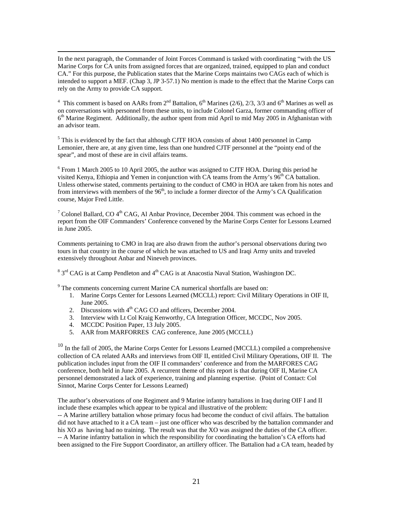<span id="page-21-0"></span> In the next paragraph, the Commander of Joint Forces Command is tasked with coordinating "with the US Marine Corps for CA units from assigned forces that are organized, trained, equipped to plan and conduct CA." For this purpose, the Publication states that the Marine Corps maintains two CAGs each of which is intended to support a MEF. (Chap 3, JP 3-57.1) No mention is made to the effect that the Marine Corps can rely on the Army to provide CA support.

<sup>4</sup> This comment is based on AARs from  $2<sup>nd</sup>$  Battalion, 6<sup>th</sup> Marines (2/6), 2/3, 3/3 and 6<sup>th</sup> Marines as well as on conversations with personnel from these units, to include Colonel Garza, former commanding officer of  $6<sup>th</sup>$  Marine Regiment. Additionally, the author spent from mid April to mid May 2005 in Afghanistan with an advisor team.

 $<sup>5</sup>$  This is evidenced by the fact that although CJTF HOA consists of about 1400 personnel in Camp</sup> Lemonier, there are, at any given time, less than one hundred CJTF personnel at the "pointy end of the spear", and most of these are in civil affairs teams.

<sup>6</sup> From 1 March 2005 to 10 April 2005, the author was assigned to CJTF HOA. During this period he visited Kenya, Ethiopia and Yemen in conjunction with CA teams from the Army's 96<sup>th</sup> CA battalion. Unless otherwise stated, comments pertaining to the conduct of CMO in HOA are taken from his notes and from interviews with members of the  $96<sup>th</sup>$ , to include a former director of the Army's CA Qualification course, Major Fred Little.

<sup>7</sup> Colonel Ballard, CO  $4<sup>th</sup>$  CAG, Al Anbar Province, December 2004. This comment was echoed in the report from the OIF Commanders' Conference convened by the Marine Corps Center for Lessons Learned in June 2005.

Comments pertaining to CMO in Iraq are also drawn from the author's personal observations during two tours in that country in the course of which he was attached to US and Iraqi Army units and traveled extensively throughout Anbar and Nineveh provinces.

 $8\text{ }3^{\text{rd}}$  CAG is at Camp Pendleton and  $4^{\text{th}}$  CAG is at Anacostia Naval Station, Washington DC.

<sup>9</sup> The comments concerning current Marine CA numerical shortfalls are based on:

- 1. Marine Corps Center for Lessons Learned (MCCLL) report: Civil Military Operations in OIF II, June 2005.
- 2. Discussions with 4<sup>th</sup> CAG CO and officers, December 2004.
- 3. Interview with Lt Col Kraig Kenworthy, CA Integration Officer, MCCDC, Nov 2005.
- 4. MCCDC Position Paper, 13 July 2005.
- 5. AAR from MARFORRES CAG conference, June 2005 (MCCLL)

 $10$  In the fall of 2005, the Marine Corps Center for Lessons Learned (MCCLL) compiled a comprehensive collection of CA related AARs and interviews from OIF II, entitled Civil Military Operations, OIF II. The publication includes input from the OIF II commanders' conference and from the MARFORES CAG conference, both held in June 2005. A recurrent theme of this report is that during OIF II, Marine CA personnel demonstrated a lack of experience, training and planning expertise. (Point of Contact: Col Sinnot, Marine Corps Center for Lessons Learned)

The author's observations of one Regiment and 9 Marine infantry battalions in Iraq during OIF I and II include these examples which appear to be typical and illustrative of the problem:

-- A Marine artillery battalion whose primary focus had become the conduct of civil affairs. The battalion did not have attached to it a CA team – just one officer who was described by the battalion commander and his XO as having had no training. The result was that the XO was assigned the duties of the CA officer. -- A Marine infantry battalion in which the responsibility for coordinating the battalion's CA efforts had been assigned to the Fire Support Coordinator, an artillery officer. The Battalion had a CA team, headed by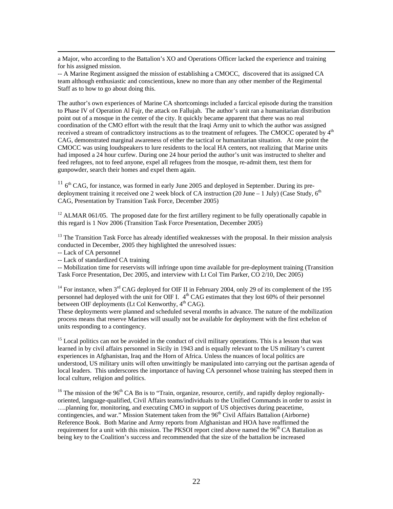<span id="page-22-0"></span> a Major, who according to the Battalion's XO and Operations Officer lacked the experience and training for his assigned mission.

-- A Marine Regiment assigned the mission of establishing a CMOCC, discovered that its assigned CA team although enthusiastic and conscientious, knew no more than any other member of the Regimental Staff as to how to go about doing this.

The author's own experiences of Marine CA shortcomings included a farcical episode during the transition to Phase IV of Operation Al Fajr, the attack on Fallujah. The author's unit ran a humanitarian distribution point out of a mosque in the center of the city. It quickly became apparent that there was no real coordination of the CMO effort with the result that the Iraqi Army unit to which the author was assigned received a stream of contradictory instructions as to the treatment of refugees. The CMOCC operated by 4<sup>th</sup> CAG, demonstrated marginal awareness of either the tactical or humanitarian situation. At one point the CMOCC was using loudspeakers to lure residents to the local HA centers, not realizing that Marine units had imposed a 24 hour curfew. During one 24 hour period the author's unit was instructed to shelter and feed refugees, not to feed anyone, expel all refugees from the mosque, re-admit them, test them for gunpowder, search their homes and expel them again.

 $11$   $6<sup>th</sup>$  CAG, for instance, was formed in early June 2005 and deployed in September. During its predeployment training it received one 2 week block of CA instruction (20 June  $-1$  July) (Case Study,  $6<sup>th</sup>$ CAG, Presentation by Transition Task Force, December 2005)

 $12$  ALMAR 061/05. The proposed date for the first artillery regiment to be fully operationally capable in this regard is 1 Nov 2006 (Transition Task Force Presentation, December 2005)

<sup>13</sup> The Transition Task Force has already identified weaknesses with the proposal. In their mission analysis conducted in December, 2005 they highlighted the unresolved issues:

-- Lack of CA personnel

-- Lack of standardized CA training

-- Mobilization time for reservists will infringe upon time available for pre-deployment training (Transition Task Force Presentation, Dec 2005, and interview with Lt Col Tim Parker, CO 2/10, Dec 2005)

<sup>14</sup> For instance, when 3<sup>rd</sup> CAG deployed for OIF II in February 2004, only 29 of its complement of the 195 personnel had deployed with the unit for OIF I.  $4<sup>th</sup>$  CAG estimates that they lost 60% of their personnel between OIF deployments (Lt Col Kenworthy,  $4<sup>th</sup> CAG$ ).

These deployments were planned and scheduled several months in advance. The nature of the mobilization process means that reserve Marines will usually not be available for deployment with the first echelon of units responding to a contingency.

<sup>15</sup> Local politics can not be avoided in the conduct of civil military operations. This is a lesson that was learned in by civil affairs personnel in Sicily in 1943 and is equally relevant to the US military's current experiences in Afghanistan, Iraq and the Horn of Africa. Unless the nuances of local politics are understood, US military units will often unwittingly be manipulated into carrying out the partisan agenda of local leaders. This underscores the importance of having CA personnel whose training has steeped them in local culture, religion and politics.

 $16$  The mission of the 96<sup>th</sup> CA Bn is to "Train, organize, resource, certify, and rapidly deploy regionallyoriented, language-qualified, Civil Affairs teams/individuals to the Unified Commands in order to assist in ….planning for, monitoring, and executing CMO in support of US objectives during peacetime, contingencies, and war." Mission Statement taken from the 96<sup>th</sup> Civil Affairs Battalion (Airborne) Reference Book. Both Marine and Army reports from Afghanistan and HOA have reaffirmed the requirement for a unit with this mission. The PKSOI report cited above named the  $96<sup>th</sup>$ CA Battalion as being key to the Coalition's success and recommended that the size of the battalion be increased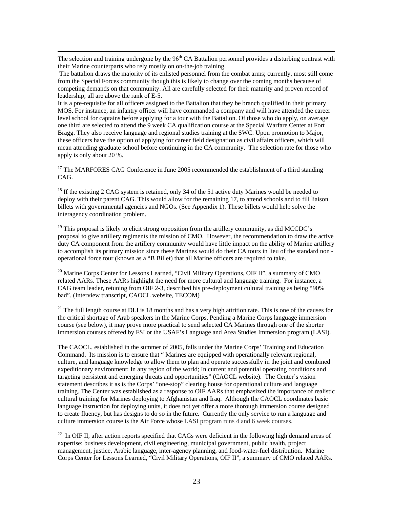<span id="page-23-0"></span>The selection and training undergone by the 96<sup>th</sup> CA Battalion personnel provides a disturbing contrast with their Marine counterparts who rely mostly on on-the-job training.

 The battalion draws the majority of its enlisted personnel from the combat arms; currently, most still come from the Special Forces community though this is likely to change over the coming months because of competing demands on that community. All are carefully selected for their maturity and proven record of leadership; all are above the rank of E-5.

It is a pre-requisite for all officers assigned to the Battalion that they be branch qualified in their primary MOS. For instance, an infantry officer will have commanded a company and will have attended the career level school for captains before applying for a tour with the Battalion. Of those who do apply, on average one third are selected to attend the 9 week CA qualification course at the Special Warfare Center at Fort Bragg. They also receive language and regional studies training at the SWC. Upon promotion to Major, these officers have the option of applying for career field designation as civil affairs officers, which will mean attending graduate school before continuing in the CA community. The selection rate for those who apply is only about 20 %.

<sup>17</sup> The MARFORES CAG Conference in June 2005 recommended the establishment of a third standing CAG.

<sup>18</sup> If the existing 2 CAG system is retained, only 34 of the 51 active duty Marines would be needed to deploy with their parent CAG. This would allow for the remaining 17, to attend schools and to fill liaison billets with governmental agencies and NGOs. (See Appendix 1). These billets would help solve the interagency coordination problem.

 $19$  This proposal is likely to elicit strong opposition from the artillery community, as did MCCDC's proposal to give artillery regiments the mission of CMO. However, the recommendation to draw the active duty CA component from the artillery community would have little impact on the ability of Marine artillery to accomplish its primary mission since these Marines would do their CA tours in lieu of the standard non operational force tour (known as a "B Billet) that all Marine officers are required to take.

<sup>20</sup> Marine Corps Center for Lessons Learned, "Civil Military Operations, OIF II", a summary of CMO related AARs. These AARs highlight the need for more cultural and language training. For instance, a CAG team leader, retuning from OIF 2-3, described his pre-deployment cultural training as being "90% bad". (Interview transcript, CAOCL website, TECOM)

 $21$  The full length course at DLI is 18 months and has a very high attrition rate. This is one of the causes for the critical shortage of Arab speakers in the Marine Corps. Pending a Marine Corps language immersion course (see below), it may prove more practical to send selected CA Marines through one of the shorter immersion courses offered by FSI or the USAF's Language and Area Studies Immersion program (LASI).

The CAOCL, established in the summer of 2005, falls under the Marine Corps' Training and Education Command. Its mission is to ensure that " Marines are equipped with operationally relevant regional, culture, and language knowledge to allow them to plan and operate successfully in the joint and combined expeditionary environment: In any region of the world; In current and potential operating conditions and targeting persistent and emerging threats and opportunities" (CAOCL website). The Center's vision statement describes it as is the Corps' "one-stop" clearing house for operational culture and language training. The Center was established as a response to OIF AARs that emphasized the importance of realistic cultural training for Marines deploying to Afghanistan and Iraq. Although the CAOCL coordinates basic language instruction for deploying units, it does not yet offer a more thorough immersion course designed to create fluency, but has designs to do so in the future. Currently the only service to run a language and culture immersion course is the Air Force whose LASI program runs 4 and 6 week courses.

<sup>22</sup> In OIF II, after action reports specified that CAGs were deficient in the following high demand areas of expertise: business development, civil engineering, municipal government, public health, project management, justice, Arabic language, inter-agency planning, and food-water-fuel distribution. Marine Corps Center for Lessons Learned, "Civil Military Operations, OIF II", a summary of CMO related AARs.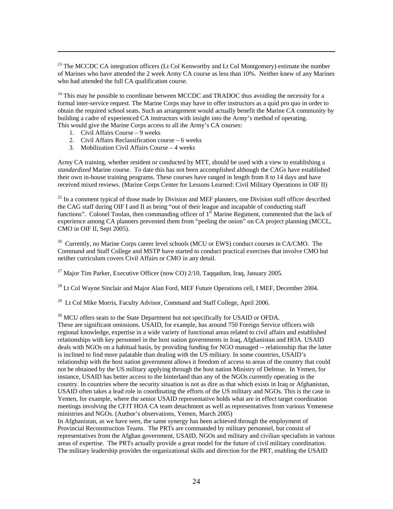$^{23}$  The MCCDC CA integration officers (Lt Col Kenworthy and Lt Col Montgomery) estimate the number of Marines who have attended the 2 week Army CA course as less than 10%. Neither knew of any Marines who had attended the full CA qualification course.

 $24$  This may be possible to coordinate between MCCDC and TRADOC thus avoiding the necessity for a formal inter-service request. The Marine Corps may have to offer instructors as a quid pro quo in order to obtain the required school seats. Such an arrangement would actually benefit the Marine CA community by building a cadre of experienced CA instructors with insight into the Army's method of operating. This would give the Marine Corps access to all the Army's CA courses:

1. Civil Affairs Course – 9 weeks

<span id="page-24-0"></span> $\overline{a}$ 

- 2. Civil Affairs Reclassification course 6 weeks
- 3. Mobilization Civil Affairs Course 4 weeks

Army CA training, whether resident or conducted by MTT, should be used with a view to establishing a *standardized* Marine course. To date this has not been accomplished although the CAGs have established their own in-house training programs. These courses have ranged in length from 8 to 14 days and have received mixed reviews. (Marine Corps Center for Lessons Learned: Civil Military Operations in OIF II)

 $^{25}$  In a comment typical of those made by Division and MEF planners, one Division staff officer described the CAG staff during OIF I and II as being "out of their league and incapable of conducting staff functions". Colonel Toolan, then commanding officer of  $1<sup>st</sup>$  Marine Regiment, commented that the lack of experience among CA planners prevented them from "peeling the onion" on CA project planning (MCCL, CMO in OIF II, Sept 2005).

 $^{26}$  Currently, no Marine Corps career level schools (MCU or EWS) conduct courses in CA/CMO. The Command and Staff College and MSTP have started to conduct practical exercises that involve CMO but neither curriculum covers Civil Affairs or CMO in any detail.

<sup>27</sup> Major Tim Parker, Executive Officer (now CO)  $2/10$ , Taggadum, Irag, January 2005.

 $^{28}$  Lt Col Wayne Sinclair and Major Alan Ford, MEF Future Operations cell, I MEF, December 2004.

 $29$  Lt Col Mike Morris, Faculty Advisor, Command and Staff College, April 2006.

<sup>30</sup> MCU offers seats to the State Department but not specifically for USAID or OFDA.

These are significant omissions. USAID, for example, has around 750 Foreign Service officers with regional knowledge, expertise in a wide variety of functional areas related to civil affairs and established relationships with key personnel in the host nation governments in Iraq, Afghanistan and HOA. USAID deals with NGOs on a habitual basis, by providing funding for NGO managed -- relationship that the latter is inclined to find more palatable than dealing with the US military. In some countries, USAID's relationship with the host nation government allows it freedom of access to areas of the country that could not be obtained by the US military applying through the host nation Ministry of Defense. In Yemen, for instance, USAID has better access to the hinterland than any of the NGOs currently operating in the country. In countries where the security situation is not as dire as that which exists in Iraq or Afghanistan, USAID often takes a lead role in coordinating the efforts of the US military and NGOs. This is the case in Yemen, for example, where the senior USAID representative holds what are in effect target coordination meetings involving the CFJT HOA CA team detachment as well as representatives from various Yemenese ministries and NGOs. (Author's observations, Yemen, March 2005)

In Afghanistan, as we have seen, the same synergy has been achieved through the employment of Provincial Reconstruction Teams. The PRTs are commanded by military personnel, but consist of representatives from the Afghan government, USAID, NGOs and military and civilian specialists in various areas of expertise. The PRTs actually provide a great model for the future of civil military coordination. The military leadership provides the organizational skills and direction for the PRT, enabling the USAID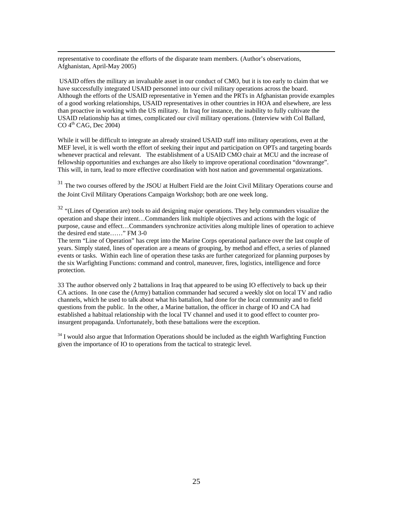<span id="page-25-0"></span> representative to coordinate the efforts of the disparate team members. (Author's observations, Afghanistan, April-May 2005)

 USAID offers the military an invaluable asset in our conduct of CMO, but it is too early to claim that we have successfully integrated USAID personnel into our civil military operations across the board. Although the efforts of the USAID representative in Yemen and the PRTs in Afghanistan provide examples of a good working relationships, USAID representatives in other countries in HOA and elsewhere, are less than proactive in working with the US military. In Iraq for instance, the inability to fully cultivate the USAID relationship has at times, complicated our civil military operations. (Interview with Col Ballard,  $CO$  4<sup>th</sup> CAG, Dec 2004)

While it will be difficult to integrate an already strained USAID staff into military operations, even at the MEF level, it is well worth the effort of seeking their input and participation on OPTs and targeting boards whenever practical and relevant. The establishment of a USAID CMO chair at MCU and the increase of fellowship opportunities and exchanges are also likely to improve operational coordination "downrange". This will, in turn, lead to more effective coordination with host nation and governmental organizations.

<sup>31</sup> The two courses offered by the JSOU at Hulbert Field are the Joint Civil Military Operations course and the Joint Civil Military Operations Campaign Workshop; both are one week long.

<sup>32</sup> "(Lines of Operation are) tools to aid designing major operations. They help commanders visualize the operation and shape their intent…Commanders link multiple objectives and actions with the logic of purpose, cause and effect…Commanders synchronize activities along multiple lines of operation to achieve the desired end state……" FM 3-0

The term "Line of Operation" has crept into the Marine Corps operational parlance over the last couple of years. Simply stated, lines of operation are a means of grouping, by method and effect, a series of planned events or tasks. Within each line of operation these tasks are further categorized for planning purposes by the six Warfighting Functions: command and control, maneuver, fires, logistics, intelligence and force protection.

33 The author observed only 2 battalions in Iraq that appeared to be using IO effectively to back up their CA actions. In one case the (Army) battalion commander had secured a weekly slot on local TV and radio channels, which he used to talk about what his battalion, had done for the local community and to field questions from the public. In the other, a Marine battalion, the officer in charge of IO and CA had established a habitual relationship with the local TV channel and used it to good effect to counter proinsurgent propaganda. Unfortunately, both these battalions were the exception.

 $34$  I would also argue that Information Operations should be included as the eighth Warfighting Function given the importance of IO to operations from the tactical to strategic level.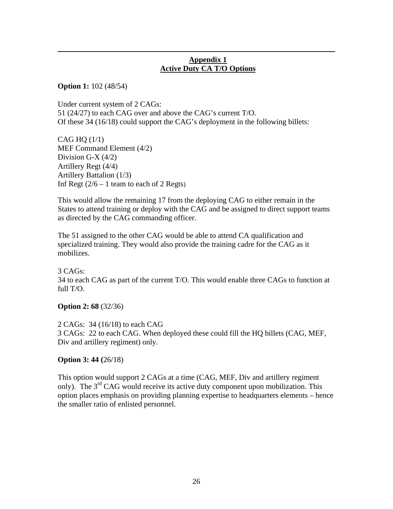## **Appendix 1 Active Duty CA T/O Options**

**Option 1:** 102 (48/54)

<span id="page-26-0"></span> $\overline{a}$ 

Under current system of 2 CAGs: 51 (24/27) to each CAG over and above the CAG's current T/O. Of these 34 (16/18) could support the CAG's deployment in the following billets:

CAG HQ  $(1/1)$ MEF Command Element (4/2) Division G-X  $(4/2)$ Artillery Regt (4/4) Artillery Battalion (1/3) Inf Regt  $(2/6 - 1)$  team to each of 2 Regts)

This would allow the remaining 17 from the deploying CAG to either remain in the States to attend training or deploy with the CAG and be assigned to direct support teams as directed by the CAG commanding officer.

The 51 assigned to the other CAG would be able to attend CA qualification and specialized training. They would also provide the training cadre for the CAG as it mobilizes.

3 CAGs: 34 to each CAG as part of the current T/O. This would enable three CAGs to function at full T/O.

**Option 2: 68** (32/36)

2 CAGs: 34 (16/18) to each CAG 3 CAGs: 22 to each CAG. When deployed these could fill the HQ billets (CAG, MEF, Div and artillery regiment) only.

## **Option 3: 44 (**26/18)

This option would support 2 CAGs at a time (CAG, MEF, Div and artillery regiment only). The 3<sup>rd</sup> CAG would receive its active duty component upon mobilization. This option places emphasis on providing planning expertise to headquarters elements – hence the smaller ratio of enlisted personnel.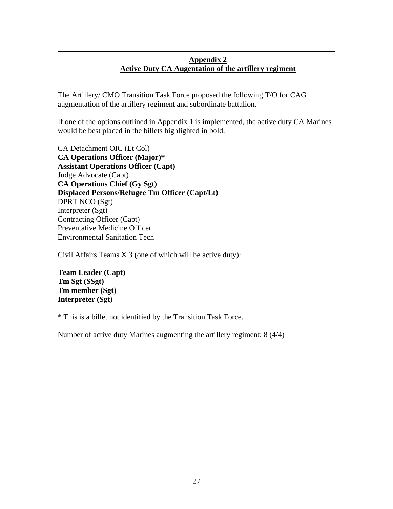## **Appendix 2 Active Duty CA Augentation of the artillery regiment**

The Artillery/ CMO Transition Task Force proposed the following T/O for CAG augmentation of the artillery regiment and subordinate battalion.

If one of the options outlined in Appendix 1 is implemented, the active duty CA Marines would be best placed in the billets highlighted in bold.

CA Detachment OIC (Lt Col) **CA Operations Officer (Major)\* Assistant Operations Officer (Capt)**  Judge Advocate (Capt) **CA Operations Chief (Gy Sgt) Displaced Persons/Refugee Tm Officer (Capt/Lt)**  DPRT NCO (Sgt) Interpreter (Sgt) Contracting Officer (Capt) Preventative Medicine Officer Environmental Sanitation Tech

Civil Affairs Teams X 3 (one of which will be active duty):

**Team Leader (Capt) Tm Sgt (SSgt) Tm member (Sgt) Interpreter (Sgt)** 

 $\overline{a}$ 

\* This is a billet not identified by the Transition Task Force.

Number of active duty Marines augmenting the artillery regiment: 8 (4/4)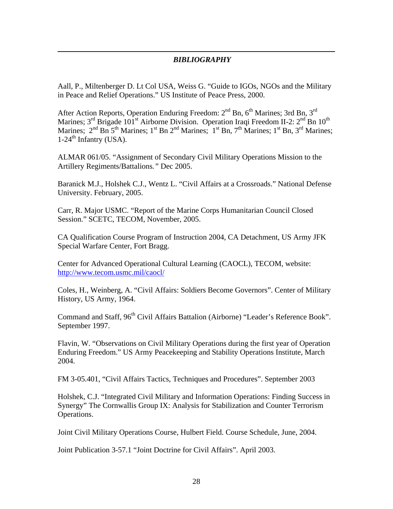## *BIBLIOGRAPHY*

Aall, P., Miltenberger D. Lt Col USA, Weiss G. "Guide to IGOs, NGOs and the Military in Peace and Relief Operations." US Institute of Peace Press, 2000.

 $\overline{a}$ 

After Action Reports, Operation Enduring Freedom:  $2<sup>nd</sup>$  Bn,  $6<sup>th</sup>$  Marines; 3rd Bn,  $3<sup>rd</sup>$ Marines;  $3<sup>rd</sup>$  Brigade 101<sup>st</sup> Airborne Division. Operation Iraqi Freedom II-2:  $2<sup>nd</sup>$  Bn 10<sup>th</sup> Marines;  $2<sup>nd</sup>$  Bn  $5<sup>th</sup>$  Marines;  $1<sup>st</sup>$  Bn  $2<sup>nd</sup>$  Marines;  $1<sup>st</sup>$  Bn,  $7<sup>th</sup>$  Marines;  $1<sup>st</sup>$  Bn,  $3<sup>rd</sup>$  Marines;  $1-24$ <sup>th</sup> Infantry (USA).

ALMAR 061/05. "Assignment of Secondary Civil Military Operations Mission to the Artillery Regiments/Battalions*."* Dec 2005.

Baranick M.J., Holshek C.J., Wentz L. "Civil Affairs at a Crossroads." National Defense University. February, 2005.

Carr, R. Major USMC. "Report of the Marine Corps Humanitarian Council Closed Session." SCETC, TECOM, November, 2005.

CA Qualification Course Program of Instruction 2004, CA Detachment, US Army JFK Special Warfare Center, Fort Bragg.

Center for Advanced Operational Cultural Learning (CAOCL), TECOM, website: <http://www.tecom.usmc.mil/caocl/>

Coles, H., Weinberg, A. "Civil Affairs: Soldiers Become Governors". Center of Military History, US Army, 1964.

Command and Staff, 96<sup>th</sup> Civil Affairs Battalion (Airborne) "Leader's Reference Book". September 1997.

Flavin, W. "Observations on Civil Military Operations during the first year of Operation Enduring Freedom." US Army Peacekeeping and Stability Operations Institute, March 2004.

FM 3-05.401, "Civil Affairs Tactics, Techniques and Procedures". September 2003

Holshek, C.J. "Integrated Civil Military and Information Operations: Finding Success in Synergy" The Cornwallis Group IX: Analysis for Stabilization and Counter Terrorism Operations.

Joint Civil Military Operations Course, Hulbert Field. Course Schedule, June, 2004.

Joint Publication 3-57.1 "Joint Doctrine for Civil Affairs". April 2003.